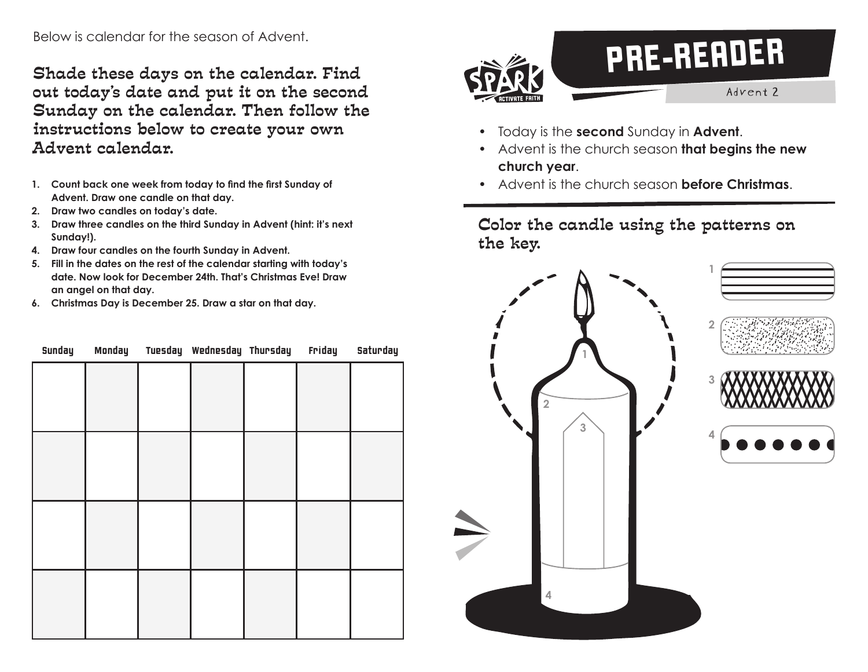Shade these days on the calendar. Find out today's date and put it on the second Sunday on the calendar. Then follow the instructions below to create your own Advent calendar.

- **1. Count back one week from today to find the first Sunday of Advent. Draw one candle on that day.**
- **2. Draw two candles on today's date.**
- **3. Draw three candles on the third Sunday in Advent (hint: it's next Sunday!).**
- **4. Draw four candles on the fourth Sunday in Advent.**
- **5. Fill in the dates on the rest of the calendar starting with today's date. Now look for December 24th. That's Christmas Eve! Draw an angel on that day.**
- **6. Christmas Day is December 25. Draw a star on that day.**

| Sunday |  | Monday Tuesday Wednesday Thursday | Friday | Saturday |
|--------|--|-----------------------------------|--------|----------|
|        |  |                                   |        |          |
|        |  |                                   |        |          |
|        |  |                                   |        |          |
|        |  |                                   |        |          |
|        |  |                                   |        |          |
|        |  |                                   |        |          |
|        |  |                                   |        |          |
|        |  |                                   |        |          |
|        |  |                                   |        |          |
|        |  |                                   |        |          |
|        |  |                                   |        |          |
|        |  |                                   |        |          |



- Today is the **second** Sunday in **Advent**.
- Advent is the church season **that begins the new church year**.
- Advent is the church season **before Christmas**.

Color the candle using the patterns on the key.